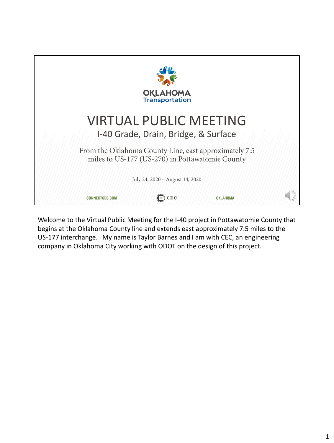

Welcome to the Virtual Public Meeting for the I-40 project in Pottawatomie County that begins at the Oklahoma County line and extends east approximately 7.5 miles to the US-177 interchange. My name is Taylor Barnes and I am with CEC, an engineering company in Oklahoma City working with ODOT on the design of this project.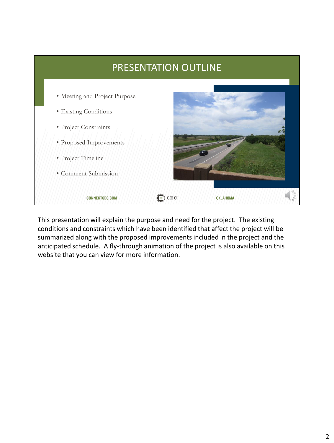

This presentation will explain the purpose and need for the project. The existing conditions and constraints which have been identified that affect the project will be summarized along with the proposed improvements included in the project and the anticipated schedule. A fly-through animation of the project is also available on this website that you can view for more information.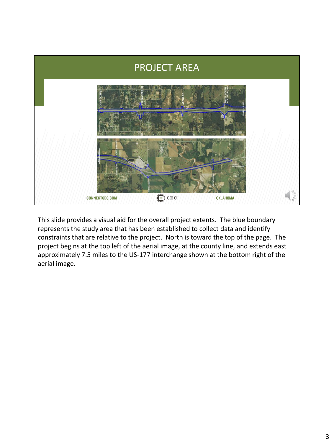

This slide provides a visual aid for the overall project extents. The blue boundary represents the study area that has been established to collect data and identify constraints that are relative to the project. North is toward the top of the page. The project begins at the top left of the aerial image, at the county line, and extends east approximately 7.5 miles to the US-177 interchange shown at the bottom right of the aerial image.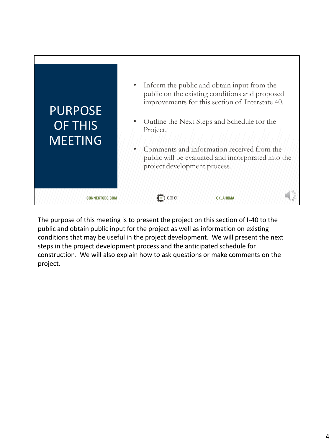

The purpose of this meeting is to present the project on this section of I-40 to the public and obtain public input for the project as well as information on existing conditions that may be useful in the project development. We will present the next steps in the project development process and the anticipated schedule for construction. We will also explain how to ask questions or make comments on the project.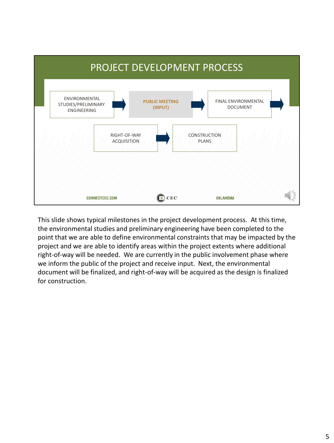

This slide shows typical milestones in the project development process. At this time, the environmental studies and preliminary engineering have been completed to the point that we are able to define environmental constraints that may be impacted by the project and we are able to identify areas within the project extents where additional right-of-way will be needed. We are currently in the public involvement phase where we inform the public of the project and receive input. Next, the environmental document will be finalized, and right-of-way will be acquired as the design is finalized for construction.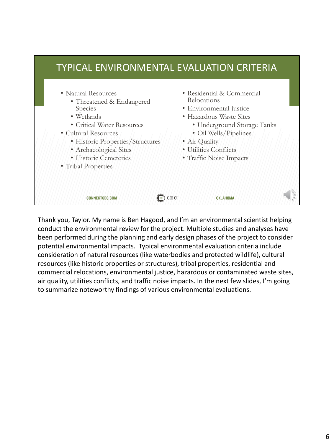

Thank you, Taylor. My name is Ben Hagood, and I'm an environmental scientist helping conduct the environmental review for the project. Multiple studies and analyses have been performed during the planning and early design phases of the project to consider potential environmental impacts. Typical environmental evaluation criteria include consideration of natural resources (like waterbodies and protected wildlife), cultural resources (like historic properties or structures), tribal properties, residential and commercial relocations, environmental justice, hazardous or contaminated waste sites, air quality, utilities conflicts, and traffic noise impacts. In the next few slides, I'm going to summarize noteworthy findings of various environmental evaluations.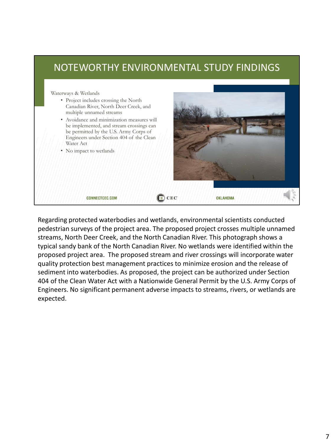## NOTEWORTHY ENVIRONMENTAL STUDY FINDINGS Waterways & Wetlands • Project includes crossing the North Canadian River, North Deer Creek, and multiple unnamed streams • Avoidance and minimization measures will be implemented, and stream crossings can be permitted by the U.S. Army Corps of Engineers under Section 404 of the Clean Water Act • No impact to wetlands  $\bigodot$  CEC **CONNECTCEC.COM OKLAHOMA**

Regarding protected waterbodies and wetlands, environmental scientists conducted pedestrian surveys of the project area. The proposed project crosses multiple unnamed streams, North Deer Creek, and the North Canadian River. This photograph shows a typical sandy bank of the North Canadian River. No wetlands were identified within the proposed project area. The proposed stream and river crossings will incorporate water quality protection best management practices to minimize erosion and the release of sediment into waterbodies. As proposed, the project can be authorized under Section 404 of the Clean Water Act with a Nationwide General Permit by the U.S. Army Corps of Engineers. No significant permanent adverse impacts to streams, rivers, or wetlands are expected.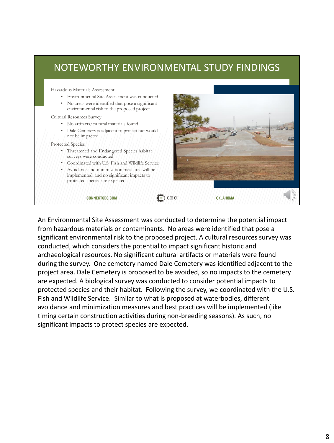# NOTEWORTHY ENVIRONMENTAL STUDY FINDINGS

Hazardous Materials Assessment

• Environmental Site Assessment was conducted • No areas were identified that pose a significant environmental risk to the proposed project

### Cultural Resources Survey

- No artifacts/cultural materials found
- Dale Cemetery is adjacent to project but would not be impacted

Protected Species

- Threatened and Endangered Species habitat surveys were conducted
- Coordinated with U.S. Fish and Wildlife Service
- Avoidance and minimization measures will be implemented, and no significant impacts to protected species are expected

#### **CONNECTCEC.COM**



An Environmental Site Assessment was conducted to determine the potential impact from hazardous materials or contaminants. No areas were identified that pose a significant environmental risk to the proposed project. A cultural resources survey was conducted, which considers the potential to impact significant historic and archaeological resources. No significant cultural artifacts or materials were found during the survey. One cemetery named Dale Cemetery was identified adjacent to the project area. Dale Cemetery is proposed to be avoided, so no impacts to the cemetery are expected. A biological survey was conducted to consider potential impacts to protected species and their habitat. Following the survey, we coordinated with the U.S. Fish and Wildlife Service. Similar to what is proposed at waterbodies, different avoidance and minimization measures and best practices will be implemented (like timing certain construction activities during non-breeding seasons). As such, no significant impacts to protect species are expected.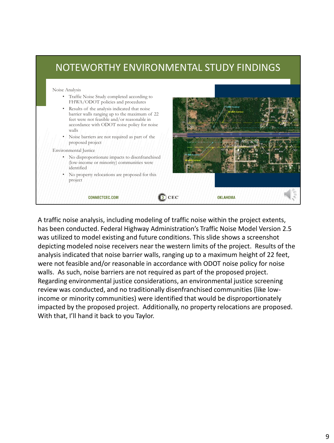# NOTEWORTHY ENVIRONMENTAL STUDY FINDINGS

Noise Analysis

- Traffic Noise Study completed according to FHWA/ODOT policies and procedures
- Results of the analysis indicated that noise barrier walls ranging up to the maximum of 22 feet were not feasible and/or reasonable in accordance with ODOT noise policy for noise walls
- Noise barriers are not required as part of the proposed project

### Environmental Justice

- No disproportionate impacts to disenfranchised (low-income or minority) communities were identified
- No property relocations are proposed for this project

**CONNECTCEC.COM** 



A traffic noise analysis, including modeling of traffic noise within the project extents, has been conducted. Federal Highway Administration's Traffic Noise Model Version 2.5 was utilized to model existing and future conditions. This slide shows a screenshot depicting modeled noise receivers near the western limits of the project. Results of the analysis indicated that noise barrier walls, ranging up to a maximum height of 22 feet, were not feasible and/or reasonable in accordance with ODOT noise policy for noise walls. As such, noise barriers are not required as part of the proposed project. Regarding environmental justice considerations, an environmental justice screening review was conducted, and no traditionally disenfranchised communities (like lowincome or minority communities) were identified that would be disproportionately impacted by the proposed project. Additionally, no property relocations are proposed. With that, I'll hand it back to you Taylor.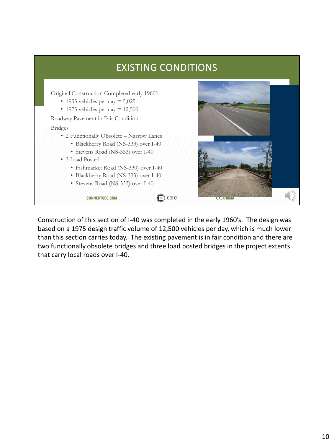

Construction of this section of I-40 was completed in the early 1960's. The design was based on a 1975 design traffic volume of 12,500 vehicles per day, which is much lower than this section carries today. The existing pavement is in fair condition and there are two functionally obsolete bridges and three load posted bridges in the project extents that carry local roads over I-40.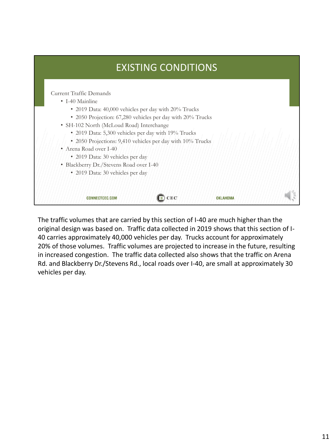| <b>EXISTING CONDITIONS</b>                                                                                         |  |  |  |  |  |
|--------------------------------------------------------------------------------------------------------------------|--|--|--|--|--|
| Current Traffic Demands<br>• I-40 Mainline                                                                         |  |  |  |  |  |
| • 2019 Data: 40,000 vehicles per day with 20% Trucks<br>• 2050 Projection: 67,280 vehicles per day with 20% Trucks |  |  |  |  |  |
| • SH-102 North (McLoud Road) Interchange                                                                           |  |  |  |  |  |
| • 2019 Data: 5,300 vehicles per day with 19% Trucks                                                                |  |  |  |  |  |
| • 2050 Projections: 9,410 vehicles per day with 10% Trucks<br>• Arena Road over I-40                               |  |  |  |  |  |
| • 2019 Data: 30 vehicles per day                                                                                   |  |  |  |  |  |
| • Blackberry Dr./Stevens Road over I-40                                                                            |  |  |  |  |  |
| · 2019 Data: 30 vehicles per day                                                                                   |  |  |  |  |  |
|                                                                                                                    |  |  |  |  |  |
| OKLAHOMA<br><b>CONNECTCEC.COM</b>                                                                                  |  |  |  |  |  |

The traffic volumes that are carried by this section of I-40 are much higher than the original design was based on. Traffic data collected in 2019 shows that this section of I-40 carries approximately 40,000 vehicles per day. Trucks account for approximately 20% of those volumes. Traffic volumes are projected to increase in the future, resulting in increased congestion. The traffic data collected also shows that the traffic on Arena Rd. and Blackberry Dr./Stevens Rd., local roads over I-40, are small at approximately 30 vehicles per day.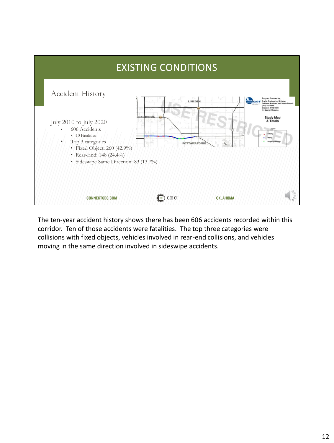

The ten-year accident history shows there has been 606 accidents recorded within this corridor. Ten of those accidents were fatalities. The top three categories were collisions with fixed objects, vehicles involved in rear-end collisions, and vehicles moving in the same direction involved in sideswipe accidents.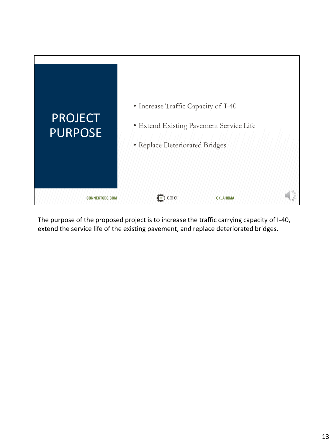

The purpose of the proposed project is to increase the traffic carrying capacity of I-40, extend the service life of the existing pavement, and replace deteriorated bridges.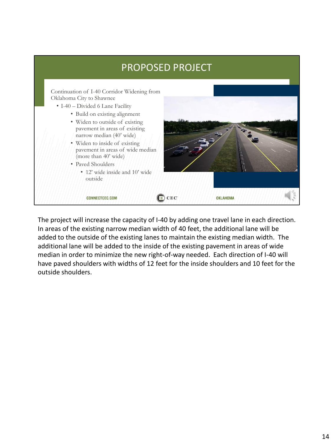

The project will increase the capacity of I-40 by adding one travel lane in each direction. In areas of the existing narrow median width of 40 feet, the additional lane will be added to the outside of the existing lanes to maintain the existing median width. The additional lane will be added to the inside of the existing pavement in areas of wide median in order to minimize the new right-of-way needed. Each direction of I-40 will have paved shoulders with widths of 12 feet for the inside shoulders and 10 feet for the outside shoulders.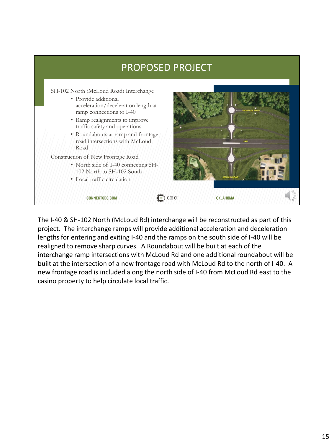

The I-40 & SH-102 North (McLoud Rd) interchange will be reconstructed as part of this project. The interchange ramps will provide additional acceleration and deceleration lengths for entering and exiting I-40 and the ramps on the south side of I-40 will be realigned to remove sharp curves. A Roundabout will be built at each of the interchange ramp intersections with McLoud Rd and one additional roundabout will be built at the intersection of a new frontage road with McLoud Rd to the north of I-40. A new frontage road is included along the north side of I-40 from McLoud Rd east to the casino property to help circulate local traffic.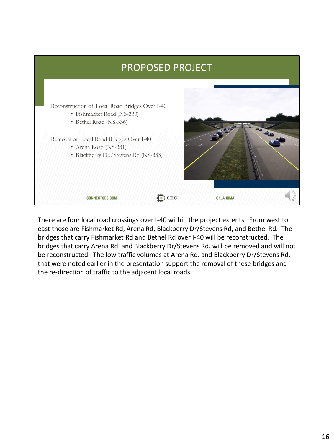

There are four local road crossings over I-40 within the project extents. From west to east those are Fishmarket Rd, Arena Rd, Blackberry Dr/Stevens Rd, and Bethel Rd. The bridges that carry Fishmarket Rd and Bethel Rd over I-40 will be reconstructed. The bridges that carry Arena Rd. and Blackberry Dr/Stevens Rd. will be removed and will not be reconstructed. The low traffic volumes at Arena Rd. and Blackberry Dr/Stevens Rd. that were noted earlier in the presentation support the removal of these bridges and the re-direction of traffic to the adjacent local roads.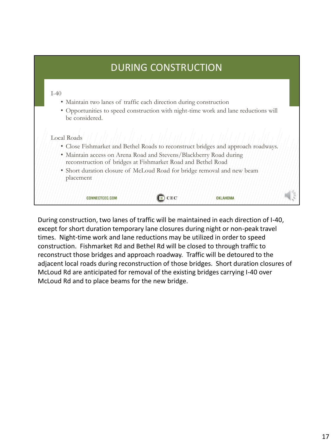# DURING CONSTRUCTION

## $I-40$

- Maintain two lanes of traffic each direction during construction
- Opportunities to speed construction with night-time work and lane reductions will be considered.

## Local Roads

- Close Fishmarket and Bethel Roads to reconstruct bridges and approach roadways.
- Maintain access on Arena Road and Stevens/Blackberry Road during reconstruction of bridges at Fishmarket Road and Bethel Road
- Short duration closure of McLoud Road for bridge removal and new beam placement

| CEC<br><b>CONNECTCEC.COM</b><br><b>OKLAHOMA</b> |  |  |  |  |  |
|-------------------------------------------------|--|--|--|--|--|
|-------------------------------------------------|--|--|--|--|--|

During construction, two lanes of traffic will be maintained in each direction of I-40, except for short duration temporary lane closures during night or non-peak travel times. Night-time work and lane reductions may be utilized in order to speed construction. Fishmarket Rd and Bethel Rd will be closed to through traffic to reconstruct those bridges and approach roadway. Traffic will be detoured to the adjacent local roads during reconstruction of those bridges. Short duration closures of McLoud Rd are anticipated for removal of the existing bridges carrying I-40 over McLoud Rd and to place beams for the new bridge.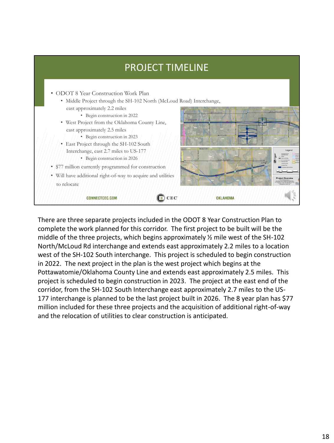

There are three separate projects included in the ODOT 8 Year Construction Plan to complete the work planned for this corridor. The first project to be built will be the middle of the three projects, which begins approximately ½ mile west of the SH-102 North/McLoud Rd interchange and extends east approximately 2.2 miles to a location west of the SH-102 South interchange. This project is scheduled to begin construction in 2022. The next project in the plan is the west project which begins at the Pottawatomie/Oklahoma County Line and extends east approximately 2.5 miles. This project is scheduled to begin construction in 2023. The project at the east end of the corridor, from the SH-102 South Interchange east approximately 2.7 miles to the US-177 interchange is planned to be the last project built in 2026. The 8 year plan has \$77 million included for these three projects and the acquisition of additional right-of-way and the relocation of utilities to clear construction is anticipated.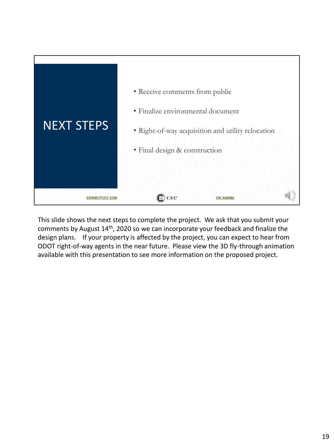

This slide shows the next steps to complete the project. We ask that you submit your comments by August 14th, 2020 so we can incorporate your feedback and finalize the design plans. If your property is affected by the project, you can expect to hear from ODOT right-of-way agents in the near future. Please view the 3D fly-through animation available with this presentation to see more information on the proposed project.